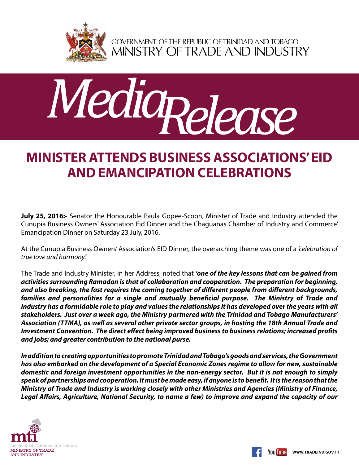

GOVERNMENT OF THE REPUBLIC OF TRINIDAD AND TOBAGO<br>MINISTRY OF TRADE AND INDUSTRY



## **Minister attends Business Associations' Eid and Emancipation celebrations**

**July 25, 2016:-** Senator the Honourable Paula Gopee-Scoon, Minister of Trade and Industry attended the Cunupia Business Owners' Association Eid Dinner and the Chaguanas Chamber of Industry and Commerce' Emancipation Dinner on Saturday 23 July, 2016.

At the Cunupia Business Owners' Association's EID Dinner, the overarching theme was one of a *'celebration of true love and harmony'.*

The Trade and Industry Minister, in her Address, noted that *'one of the key lessons that can be gained from activities surrounding Ramadan is that of collaboration and cooperation. The preparation for beginning, and also breaking, the fast requires the coming together of different people from different backgrounds, families and personalities for a single and mutually beneficial purpose. The Ministry of Trade and Industry has a formidable role to play and values the relationships it has developed over the years with all stakeholders. Just over a week ago, the Ministry partnered with the Trinidad and Tobago Manufacturers' Association (TTMA), as well as several other private sector groups, in hosting the 18th Annual Trade and Investment Convention. The direct effect being improved business to business relations; increased profits and jobs; and greater contribution to the national purse.*

*In addition to creating opportunities to promote Trinidad and Tobago's goods and services, the Government has also embarked on the development of a Special Economic Zones regime to allow for new, sustainable domestic and foreign investment opportunities in the non-energy sector. But it is not enough to simply speak of partnerships and cooperation. It must be made easy, if anyone is to benefit. It is the reason that the Ministry of Trade and Industry is working closely with other Ministries and Agencies (Ministry of Finance, Legal Affairs, Agriculture, National Security, to name a few) to improve and expand the capacity of our*